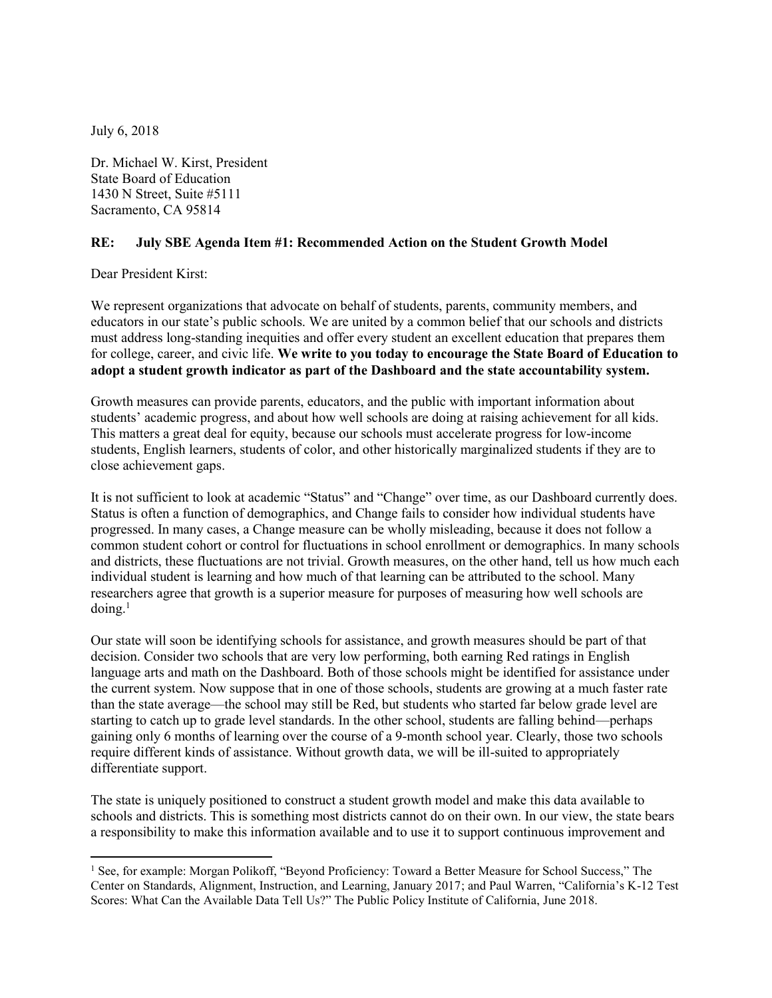July 6, 2018

Dr. Michael W. Kirst, President State Board of Education 1430 N Street, Suite #5111 Sacramento, CA 95814

## **RE: July SBE Agenda Item #1: Recommended Action on the Student Growth Model**

Dear President Kirst:

We represent organizations that advocate on behalf of students, parents, community members, and educators in our state's public schools. We are united by a common belief that our schools and districts must address long-standing inequities and offer every student an excellent education that prepares them for college, career, and civic life. **We write to you today to encourage the State Board of Education to adopt a student growth indicator as part of the Dashboard and the state accountability system.** 

Growth measures can provide parents, educators, and the public with important information about students' academic progress, and about how well schools are doing at raising achievement for all kids. This matters a great deal for equity, because our schools must accelerate progress for low-income students, English learners, students of color, and other historically marginalized students if they are to close achievement gaps.

It is not sufficient to look at academic "Status" and "Change" over time, as our Dashboard currently does. Status is often a function of demographics, and Change fails to consider how individual students have progressed. In many cases, a Change measure can be wholly misleading, because it does not follow a common student cohort or control for fluctuations in school enrollment or demographics. In many schools and districts, these fluctuations are not trivial. Growth measures, on the other hand, tell us how much each individual student is learning and how much of that learning can be attributed to the school. Many researchers agree that growth is a superior measure for purposes of measuring how well schools are  $\gamma$  doing.<sup>1</sup>

Our state will soon be identifying schools for assistance, and growth measures should be part of that decision. Consider two schools that are very low performing, both earning Red ratings in English language arts and math on the Dashboard. Both of those schools might be identified for assistance under the current system. Now suppose that in one of those schools, students are growing at a much faster rate than the state average—the school may still be Red, but students who started far below grade level are starting to catch up to grade level standards. In the other school, students are falling behind—perhaps gaining only 6 months of learning over the course of a 9-month school year. Clearly, those two schools require different kinds of assistance. Without growth data, we will be ill-suited to appropriately differentiate support.

The state is uniquely positioned to construct a student growth model and make this data available to schools and districts. This is something most districts cannot do on their own. In our view, the state bears a responsibility to make this information available and to use it to support continuous improvement and

 $\overline{\phantom{a}}$ <sup>1</sup> See, for example: Morgan Polikoff, "Beyond Proficiency: Toward a Better Measure for School Success," The Center on Standards, Alignment, Instruction, and Learning, January 2017; and Paul Warren, "California's K-12 Test Scores: What Can the Available Data Tell Us?" The Public Policy Institute of California, June 2018.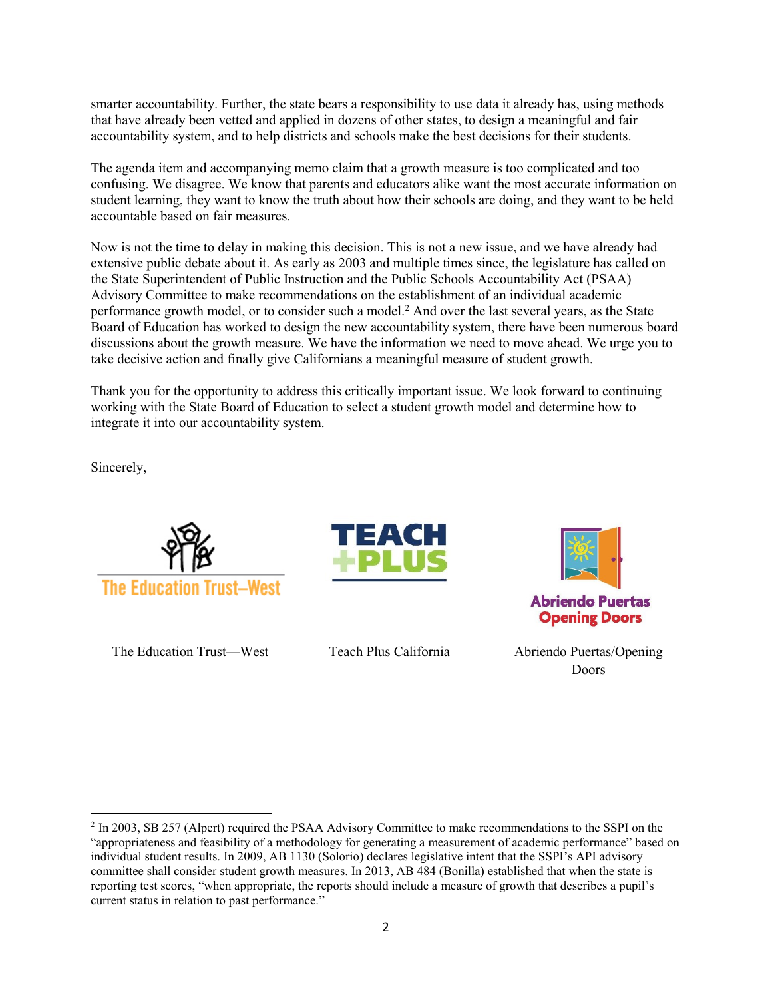smarter accountability. Further, the state bears a responsibility to use data it already has, using methods that have already been vetted and applied in dozens of other states, to design a meaningful and fair accountability system, and to help districts and schools make the best decisions for their students.

The agenda item and accompanying memo claim that a growth measure is too complicated and too confusing. We disagree. We know that parents and educators alike want the most accurate information on student learning, they want to know the truth about how their schools are doing, and they want to be held accountable based on fair measures.

Now is not the time to delay in making this decision. This is not a new issue, and we have already had extensive public debate about it. As early as 2003 and multiple times since, the legislature has called on the State Superintendent of Public Instruction and the Public Schools Accountability Act (PSAA) Advisory Committee to make recommendations on the establishment of an individual academic performance growth model, or to consider such a model.<sup>2</sup> And over the last several years, as the State Board of Education has worked to design the new accountability system, there have been numerous board discussions about the growth measure. We have the information we need to move ahead. We urge you to take decisive action and finally give Californians a meaningful measure of student growth.

Thank you for the opportunity to address this critically important issue. We look forward to continuing working with the State Board of Education to select a student growth model and determine how to integrate it into our accountability system.

Sincerely,



The Education Trust—West Teach Plus California Abriendo Puertas/Opening





**Abriendo Puertas Opening Doors** 

Doors

<sup>&</sup>lt;sup>2</sup> In 2003, SB 257 (Alpert) required the PSAA Advisory Committee to make recommendations to the SSPI on the "appropriateness and feasibility of a methodology for generating a measurement of academic performance" based on individual student results. In 2009, AB 1130 (Solorio) declares legislative intent that the SSPI's API advisory committee shall consider student growth measures. In 2013, AB 484 (Bonilla) established that when the state is reporting test scores, "when appropriate, the reports should include a measure of growth that describes a pupil's current status in relation to past performance."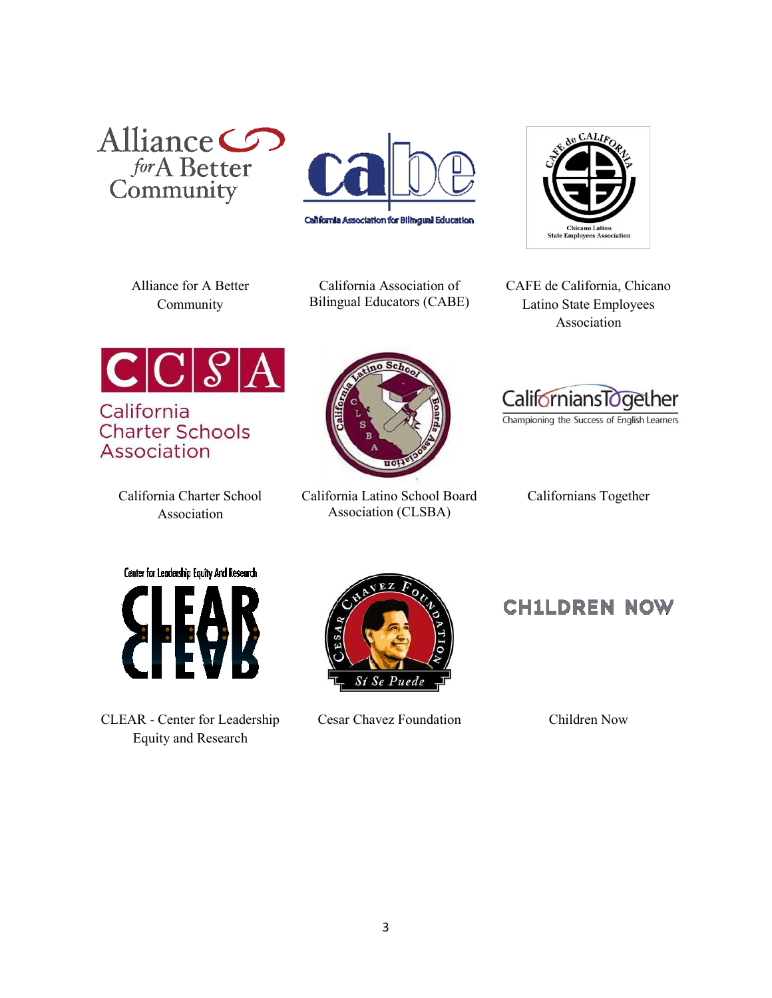





Alliance for A Better Community

California Association of Bilingual Educators (CABE) CAFE de California, Chicano Latino State Employees Association



California **Charter Schools** Association

> California Charter School Association



California Latino School Board Association (CLSBA)



Championing the Success of English Learners

Californians Together

Center for Leadership Equity And Research



CLEAR - Center for Leadership Equity and Research



Cesar Chavez Foundation Children Now

**CH1LDREN NOW**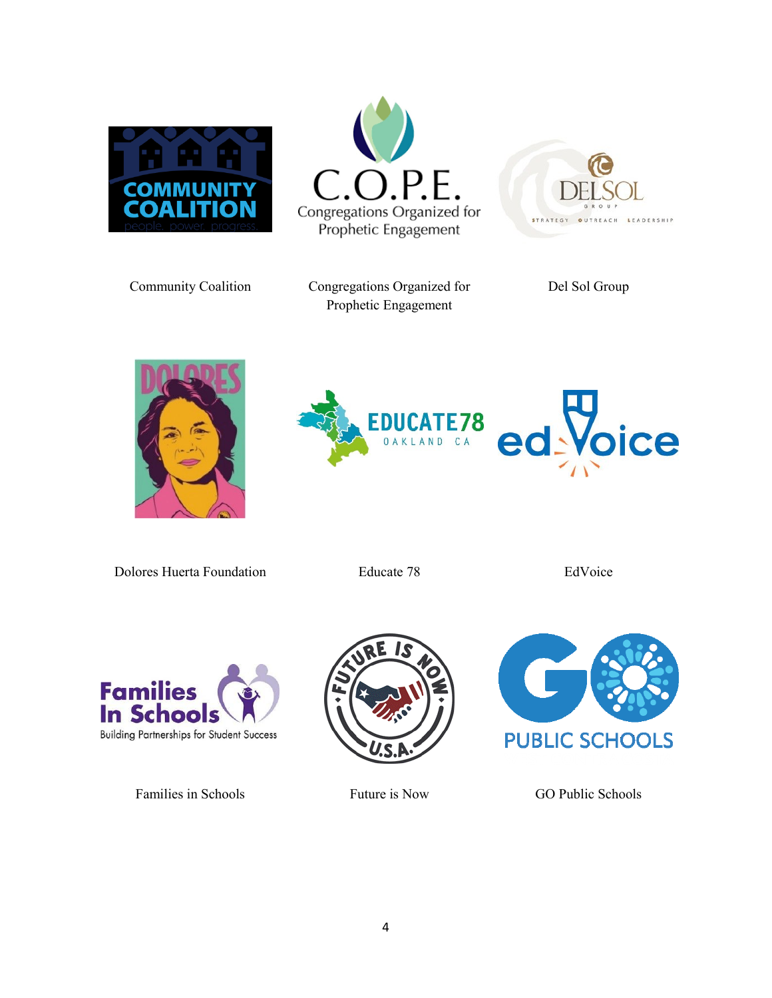





Community Coalition Congregations Organized for Prophetic Engagement

Del Sol Group





Dolores Huerta Foundation Educate 78 EdVoice



Families in Schools Future is Now GO Public Schools



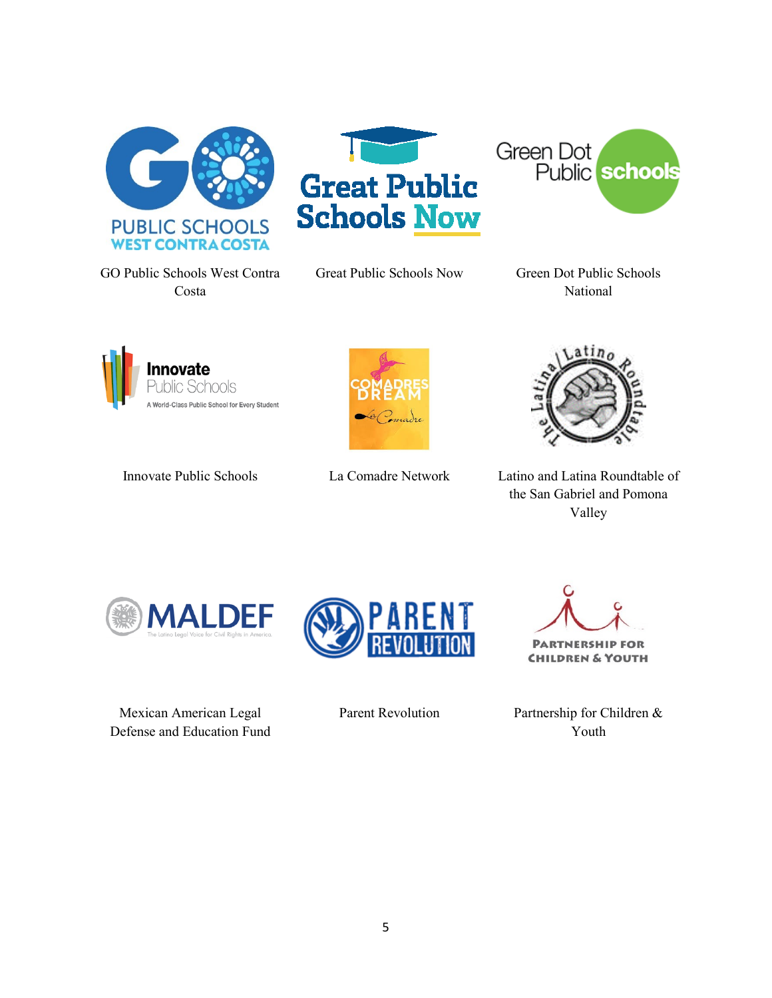

GO Public Schools West Contra Costa



Great Public Schools Now Green Dot Public Schools

Green Dot **Public** schools

National









Innovate Public Schools La Comadre Network Latino and Latina Roundtable of the San Gabriel and Pomona Valley



Mexican American Legal Defense and Education Fund

**PARTNERSHIP** EOR

**CHILDREN & YOUTH** 

Parent Revolution Partnership for Children & Youth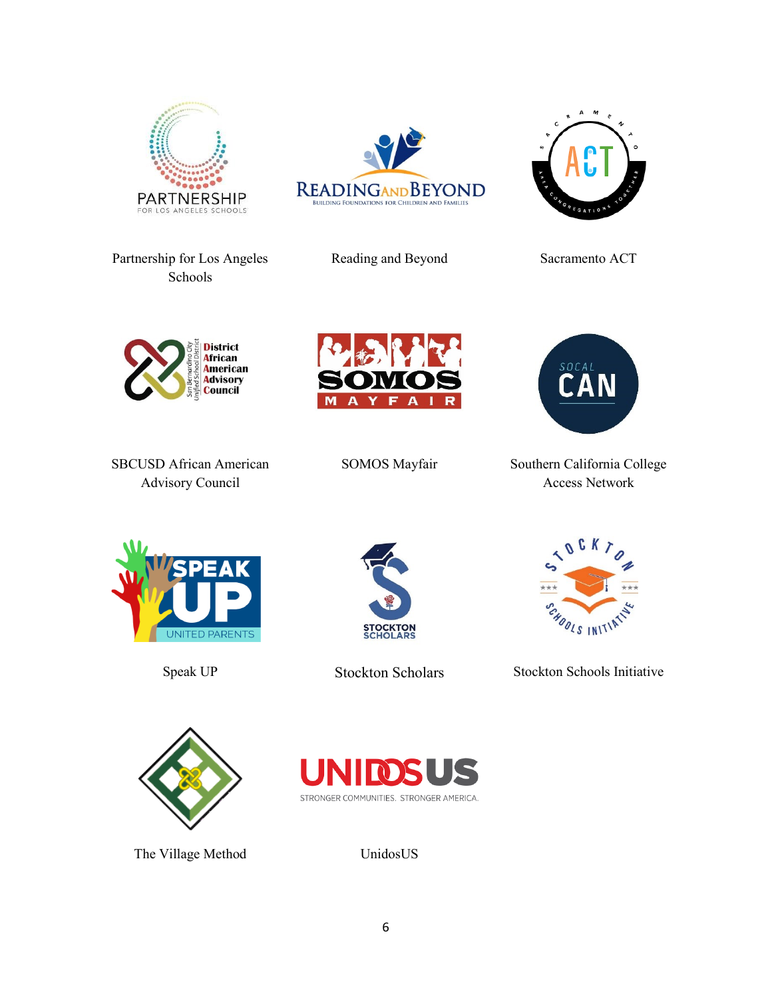







Reading and Beyond Sacramento ACT

Partnership for Los Angeles Schools



SBCUSD African American Advisory Council





SOMOS Mayfair Southern California College Access Network







Speak UP Stockton Scholars Stockton Schools Initiative





The Village Method UnidosUS